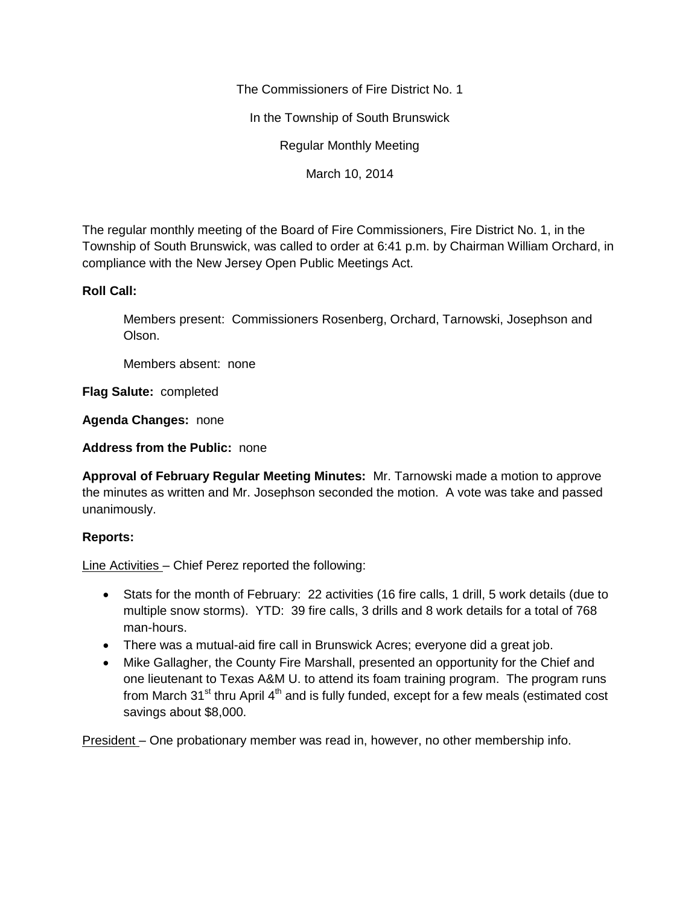The Commissioners of Fire District No. 1

In the Township of South Brunswick

Regular Monthly Meeting

March 10, 2014

The regular monthly meeting of the Board of Fire Commissioners, Fire District No. 1, in the Township of South Brunswick, was called to order at 6:41 p.m. by Chairman William Orchard, in compliance with the New Jersey Open Public Meetings Act.

## **Roll Call:**

Members present: Commissioners Rosenberg, Orchard, Tarnowski, Josephson and Olson.

Members absent: none

**Flag Salute:** completed

**Agenda Changes:** none

**Address from the Public:** none

**Approval of February Regular Meeting Minutes:** Mr. Tarnowski made a motion to approve the minutes as written and Mr. Josephson seconded the motion. A vote was take and passed unanimously.

## **Reports:**

Line Activities – Chief Perez reported the following:

- Stats for the month of February: 22 activities (16 fire calls, 1 drill, 5 work details (due to multiple snow storms). YTD: 39 fire calls, 3 drills and 8 work details for a total of 768 man-hours.
- There was a mutual-aid fire call in Brunswick Acres; everyone did a great job.
- Mike Gallagher, the County Fire Marshall, presented an opportunity for the Chief and one lieutenant to Texas A&M U. to attend its foam training program. The program runs from March 31<sup>st</sup> thru April  $4<sup>th</sup>$  and is fully funded, except for a few meals (estimated cost savings about \$8,000.

President – One probationary member was read in, however, no other membership info.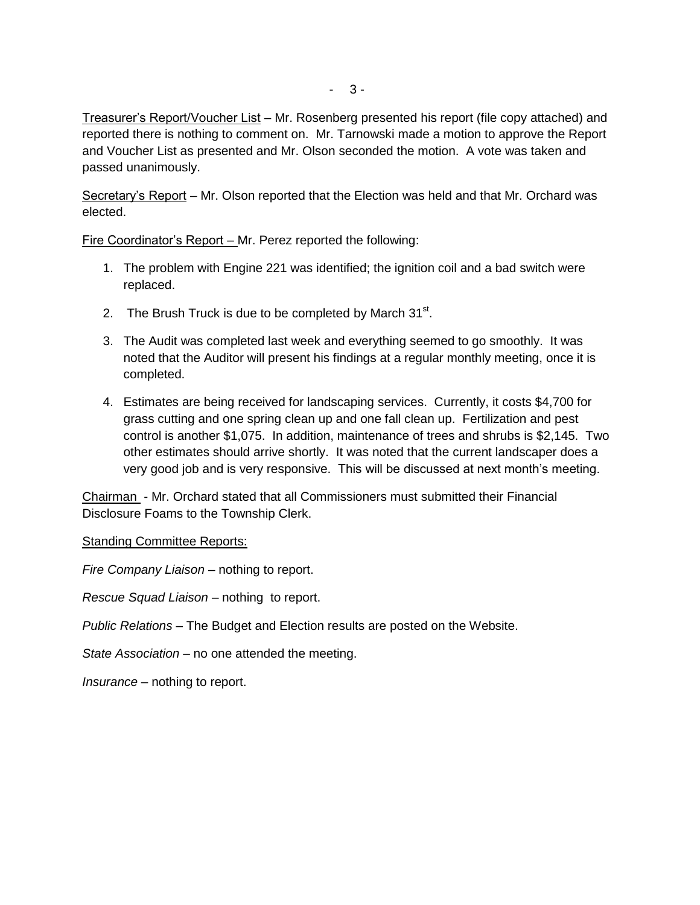Treasurer's Report/Voucher List – Mr. Rosenberg presented his report (file copy attached) and reported there is nothing to comment on. Mr. Tarnowski made a motion to approve the Report and Voucher List as presented and Mr. Olson seconded the motion. A vote was taken and passed unanimously.

Secretary's Report – Mr. Olson reported that the Election was held and that Mr. Orchard was elected.

Fire Coordinator's Report – Mr. Perez reported the following:

- 1. The problem with Engine 221 was identified; the ignition coil and a bad switch were replaced.
- 2. The Brush Truck is due to be completed by March  $31<sup>st</sup>$ .
- 3. The Audit was completed last week and everything seemed to go smoothly. It was noted that the Auditor will present his findings at a regular monthly meeting, once it is completed.
- 4. Estimates are being received for landscaping services. Currently, it costs \$4,700 for grass cutting and one spring clean up and one fall clean up. Fertilization and pest control is another \$1,075. In addition, maintenance of trees and shrubs is \$2,145. Two other estimates should arrive shortly. It was noted that the current landscaper does a very good job and is very responsive. This will be discussed at next month's meeting.

Chairman - Mr. Orchard stated that all Commissioners must submitted their Financial Disclosure Foams to the Township Clerk.

Standing Committee Reports:

*Fire Company Liaison –* nothing to report.

*Rescue Squad Liaison –* nothing to report.

*Public Relations –* The Budget and Election results are posted on the Website.

*State Association –* no one attended the meeting.

*Insurance –* nothing to report.